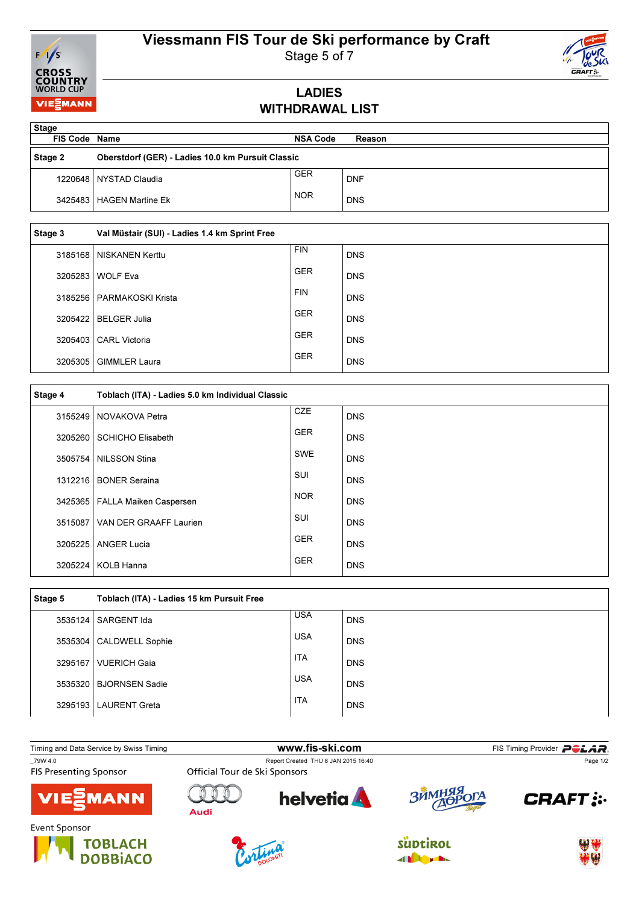# Viessmann FIS Tour de Ski performance by Craft



Stage 5 of 7

### LADIES WITHDRAWAL LIST

| <b>Stage</b>         |                                                   |                 |            |
|----------------------|---------------------------------------------------|-----------------|------------|
| <b>FIS Code Name</b> |                                                   | <b>NSA Code</b> | Reason     |
| Stage 2              | Oberstdorf (GER) - Ladies 10.0 km Pursuit Classic |                 |            |
|                      | 1220648   NYSTAD Claudia                          | GER             | <b>DNF</b> |
|                      | 3425483   HAGEN Martine Ek                        | <b>NOR</b>      | <b>DNS</b> |

| Stage 3 | Val Müstair (SUI) - Ladies 1.4 km Sprint Free |            |            |
|---------|-----------------------------------------------|------------|------------|
| 3185168 | NISKANEN Kerttu                               | <b>FIN</b> | <b>DNS</b> |
| 3205283 | <b>WOLF Eva</b>                               | <b>GER</b> | <b>DNS</b> |
| 3185256 | PARMAKOSKI Krista                             | <b>FIN</b> | <b>DNS</b> |
| 3205422 | <b>BELGER Julia</b>                           | <b>GER</b> | <b>DNS</b> |
| 3205403 | <b>CARL Victoria</b>                          | <b>GER</b> | <b>DNS</b> |
| 3205305 | <b>GIMMLER Laura</b>                          | <b>GER</b> | <b>DNS</b> |

| Stage 4 | Toblach (ITA) - Ladies 5.0 km Individual Classic |            |            |
|---------|--------------------------------------------------|------------|------------|
| 3155249 | NOVAKOVA Petra                                   | <b>CZE</b> | <b>DNS</b> |
| 3205260 | <b>SCHICHO Elisabeth</b>                         | <b>GER</b> | <b>DNS</b> |
| 3505754 | NILSSON Stina                                    | <b>SWE</b> | <b>DNS</b> |
| 1312216 | <b>BONER Seraina</b>                             | SUI        | <b>DNS</b> |
| 3425365 | <b>FALLA Maiken Caspersen</b>                    | <b>NOR</b> | <b>DNS</b> |
| 3515087 | VAN DER GRAAFF Laurien                           | <b>SUI</b> | <b>DNS</b> |
| 3205225 | <b>ANGER Lucia</b>                               | <b>GER</b> | <b>DNS</b> |
|         | 3205224   KOLB Hanna                             | <b>GER</b> | <b>DNS</b> |

| Stage 5 | Toblach (ITA) - Ladies 15 km Pursuit Free |            |            |
|---------|-------------------------------------------|------------|------------|
| 3535124 | SARGENT Ida                               | <b>USA</b> | <b>DNS</b> |
| 3535304 | <b>CALDWELL Sophie</b>                    | <b>USA</b> | <b>DNS</b> |
| 3295167 | <b>VUERICH Gaia</b>                       | <b>ITA</b> | <b>DNS</b> |
| 3535320 | <b>BJORNSEN Sadie</b>                     | <b>USA</b> | <b>DNS</b> |
| 3295193 | LAURENT Greta                             | <b>ITA</b> | <b>DNS</b> |

Timing and Data Service by Swiss Timing **WWW.fis-Ski.com** FIS Timing Provider PCLAR. The Report Created THU 8 JAN 2015 16:40<br>
FIS Presenting Sponsor **Created THU 8 JAN 2015 16:40** Page 1/2**FIS Presenting Sponsor** RRHMM **helvetia**  $\cup$  $\mathbb{O}$  $\mathbb{O}$  $\Omega$ ra **CRAFT: : MANN Audi**